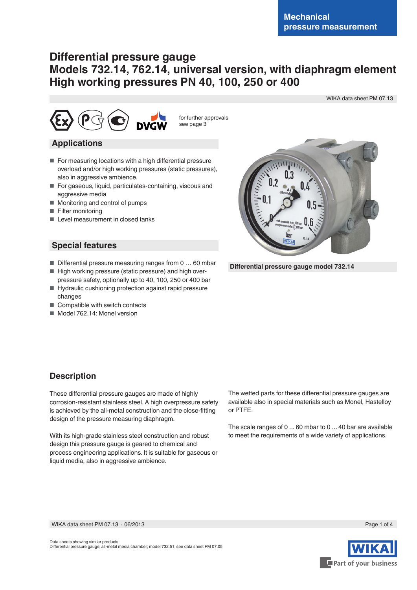WIKA data sheet PM 07.13

# **Differential pressure gauge Models 732.14, 762.14, universal version, with diaphragm element High working pressures PN 40, 100, 250 or 400**



for further approvals see page 3

### **Applications**

- For measuring locations with a high differential pressure overload and/or high working pressures (static pressures), also in aggressive ambience.
- For gaseous, liquid, particulates-containing, viscous and aggressive media
- Monitoring and control of pumps
- Filter monitoring
- Level measurement in closed tanks

### **Special features**

- Differential pressure measuring ranges from 0 ... 60 mbar
- High working pressure (static pressure) and high overpressure safety, optionally up to 40, 100, 250 or 400 bar
- Hydraulic cushioning protection against rapid pressure changes
- Compatible with switch contacts
- Model 762.14: Monel version



 **Differential pressure gauge model 732.14**

### **Description**

These differential pressure gauges are made of highly corrosion-resistant stainless steel. A high overpressure safety is achieved by the all-metal construction and the close-fitting design of the pressure measuring diaphragm.

With its high-grade stainless steel construction and robust design this pressure gauge is geared to chemical and process engineering applications. It is suitable for gaseous or liquid media, also in aggressive ambience.

The wetted parts for these differential pressure gauges are available also in special materials such as Monel, Hastelloy or PTFE.

The scale ranges of 0 ... 60 mbar to 0 ... 40 bar are available to meet the requirements of a wide variety of applications.

WIKA data sheet PM 07.13 ∙ 06/2013





Page 1 of 4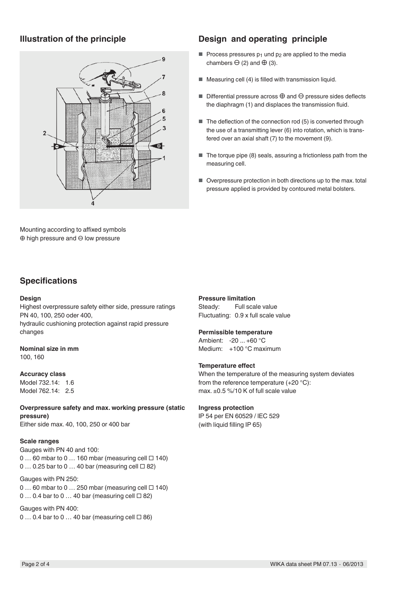

Mounting according to affixed symbols ⊕ high pressure and ⊖ low pressure

## **Illustration of the principle Design and operating principle**

- Process pressures  $p_1$  und  $p_2$  are applied to the media chambers  $\ominus$  (2) and  $\oplus$  (3).
- Measuring cell (4) is filled with transmission liquid.
- Differential pressure across ⊕ and ⊖ pressure sides deflects the diaphragm (1) and displaces the transmission fluid.
- The deflection of the connection rod (5) is converted through the use of a transmitting lever (6) into rotation, which is transfered over an axial shaft (7) to the movement (9).
- The torque pipe (8) seals, assuring a frictionless path from the measuring cell.
- Overpressure protection in both directions up to the max. total pressure applied is provided by contoured metal bolsters.

### **Specifications**

#### **Design**

Highest overpressure safety either side, pressure ratings PN 40, 100, 250 oder 400,

hydraulic cushioning protection against rapid pressure changes

#### **Nominal size in mm**

100, 160

#### **Accuracy class**

Model 732.14: 1.6 Model 762.14: 2.5

**Overpressure safety and max. working pressure (static pressure)**

Either side max. 40, 100, 250 or 400 bar

#### **Scale ranges**

Gauges with PN 40 and 100: 0 … 60 mbar to 0 … 160 mbar (measuring cell **□** 140) 0 … 0.25 bar to 0 … 40 bar (measuring cell **□** 82)

#### Gauges with PN 250:

0 … 60 mbar to 0 … 250 mbar (measuring cell **□** 140) 0 … 0.4 bar to 0 … 40 bar (measuring cell **□** 82)

#### Gauges with PN 400: 0 … 0.4 bar to 0 … 40 bar (measuring cell **□** 86)

#### **Pressure limitation**

Steady: Full scale value Fluctuating: 0.9 x full scale value

#### **Permissible temperature**

Ambient: -20 ... +60 °C Medium: +100 °C maximum

#### **Temperature effect**

When the temperature of the measuring system deviates from the reference temperature (+20 °C): max. ±0.5 %/10 K of full scale value

#### **Ingress protection**

IP 54 per EN 60529 / lEC 529 (with liquid filling IP 65)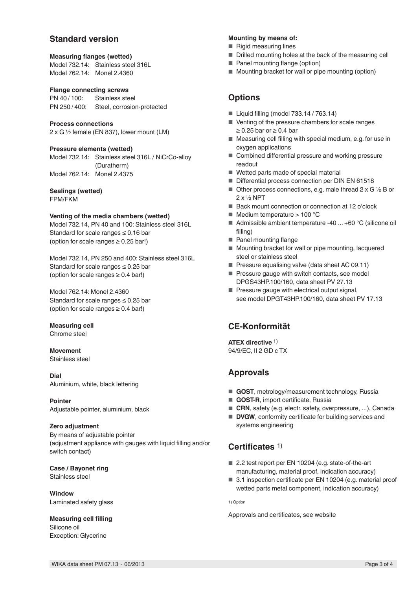### **Standard version**

### **Measuring flanges (wetted)**

Model 732.14: Stainless steel 316L Model 762.14: Monel 2.4360

#### **Flange connecting screws**

PN 40/100: Stainless steel PN 250 / 400: Steel, corrosion-protected

#### **Process connections**

2 x G ½ female (EN 837), lower mount (LM)

#### **Pressure elements (wetted)**

Model 732.14: Stainless steel 316L / NiCrCo-alloy (Duratherm) Model 762.14: Monel 2.4375

#### **Sealings (wetted)**

FPM/FKM

#### **Venting of the media chambers (wetted)**

Model 732.14, PN 40 and 100: Stainless steel 316L Standard for scale ranges  $\leq 0.16$  bar (option for scale ranges  $\geq 0.25$  bar!)

Model 732.14, PN 250 and 400: Stainless steel 316L Standard for scale ranges  $\leq 0.25$  bar (option for scale ranges  $\geq 0.4$  bar!)

Model 762.14: Monel 2.4360 Standard for scale ranges  $\leq 0.25$  bar (option for scale ranges  $\geq 0.4$  bar!)

#### **Measuring cell** Chrome steel

**Movement**

Stainless steel

**Dial** Aluminium, white, black lettering

**Pointer** Adjustable pointer, aluminium, black

#### **Zero adjustment**

By means of adjustable pointer (adjustment appliance with gauges with liquid filling and/or switch contact)

**Case / Bayonet ring** Stainless steel

**Window** Laminated safety glass

**Measuring cell filling** Silicone oil Exception: Glycerine

#### **Mounting by means of:**

■ Rigid measuring lines

- Drilled mounting holes at the back of the measuring cell
- Panel mounting flange (option)
- Mounting bracket for wall or pipe mounting (option)

### **Options**

- Liquid filling (model 733.14 / 763.14)
- Venting of the pressure chambers for scale ranges ≥ 0.25 bar or ≥ 0.4 bar
- Measuring cell filling with special medium, e.g. for use in oxygen applications
- Combined differential pressure and working pressure readout
- Wetted parts made of special material
- Differential process connection per DIN EN 61518
- $\blacksquare$  Other process connections, e.g. male thread 2 x G 1/2 B or 2 x ½ NPT
- Back mount connection or connection at 12 o'clock
- $\blacksquare$  Medium temperature > 100 °C
- Admissible ambient temperature -40 ... +60 °C (silicone oil filling)
- Panel mounting flange
- Mounting bracket for wall or pipe mounting, lacquered steel or stainless steel
- Pressure equalising valve (data sheet AC 09.11)
- Pressure gauge with switch contacts, see model DPGS43HP.100/160, data sheet PV 27.13
- Pressure gauge with electrical output signal, see model DPGT43HP.100/160, data sheet PV 17.13

### **CE-Konformität**

**ATEX directive** 1) 94/9/EC, II 2 GD c TX

### **Approvals**

- **GOST**, metrology/measurement technology, Russia
- **GOST-R**, import certificate, Russia
- CRN, safety (e.g. electr. safety, overpressure, ...), Canada
- **DVGW**, conformity certificate for building services and systems engineering

### **Certificates** 1)

- 2.2 test report per EN 10204 (e.g. state-of-the-art manufacturing, material proof, indication accuracy)
- 3.1 inspection certificate per EN 10204 (e.g. material proof wetted parts metal component, indication accuracy)

1) Option

Approvals and certificates, see website